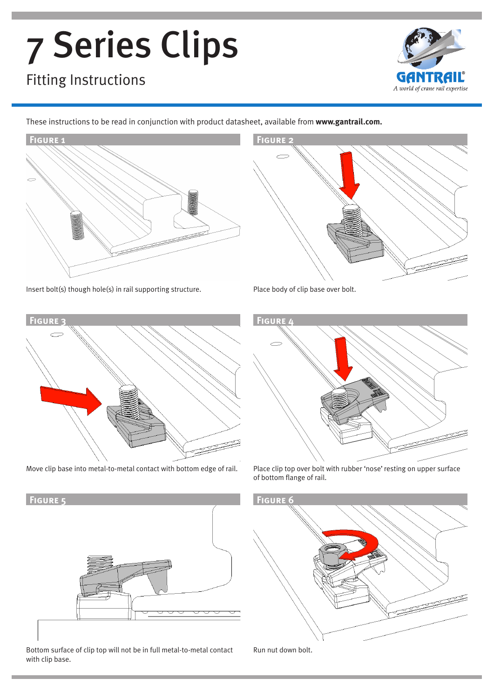# 7 Series Clips

## Fitting Instructions



These instructions to be read in conjunction with product datasheet, available from **www.gantrail.com.**





Insert bolt(s) though hole(s) in rail supporting structure. Place body of clip base over bolt.





Move clip base into metal-to-metal contact with bottom edge of rail. Place clip top over bolt with rubber 'nose' resting on upper surface of bottom flange of rail.



Bottom surface of clip top will not be in full metal-to-metal contact with clip base.



Run nut down bolt.